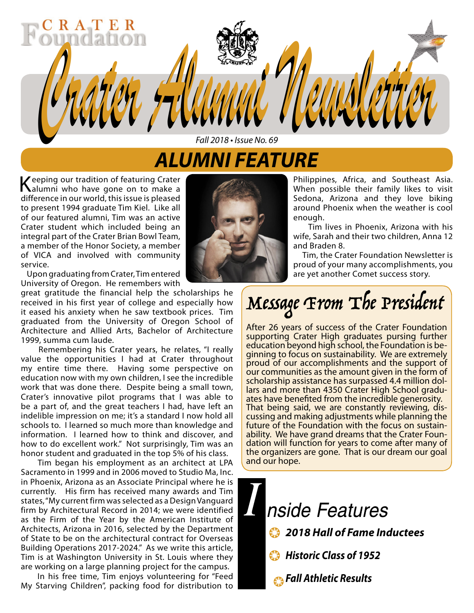### *ALUMNI FEATURE Fall 2018 • Issue No. 69*

*Crater Alumni Newsletter Crater Alumni Newsletter*

Keeping our tradition of featuring Crater alumni who have gone on to make a difference in our world, this issue is pleased to present 1994 graduate Tim Kiel. Like all of our featured alumni, Tim was an active Crater student which included being an integral part of the Crater Brian Bowl Team, a member of the Honor Society, a member of VICA and involved with community service.

 $A$   $T$ 

 Upon graduating from Crater, Tim entered University of Oregon. He remembers with

great gratitude the financial help the scholarships he received in his first year of college and especially how it eased his anxiety when he saw textbook prices. Tim graduated from the University of Oregon School of Architecture and Allied Arts, Bachelor of Architecture 1999, summa cum laude.

 Remembering his Crater years, he relates, "I really value the opportunities I had at Crater throughout my entire time there. Having some perspective on education now with my own children, I see the incredible work that was done there. Despite being a small town, Crater's innovative pilot programs that I was able to be a part of, and the great teachers I had, have left an indelible impression on me; it's a standard I now hold all schools to. I learned so much more than knowledge and information. I learned how to think and discover, and how to do excellent work." Not surprisingly, Tim was an honor student and graduated in the top 5% of his class.

 Tim began his employment as an architect at LPA Sacramento in 1999 and in 2006 moved to Studio Ma, Inc. in Phoenix, Arizona as an Associate Principal where he is currently. His firm has received many awards and Tim states, "My current firm was selected as a Design Vanguard firm by Architectural Record in 2014; we were identified as the Firm of the Year by the American Institute of Architects, Arizona in 2016, selected by the Department of State to be on the architectural contract for Overseas Building Operations 2017-2024." As we write this article, Tim is at Washington University in St. Louis where they are working on a large planning project for the campus.

 In his free time, Tim enjoys volunteering for "Feed My Starving Children", packing food for distribution to



Philippines, Africa, and Southeast Asia. When possible their family likes to visit Sedona, Arizona and they love biking around Phoenix when the weather is cool enough.

 Tim lives in Phoenix, Arizona with his wife, Sarah and their two children, Anna 12 and Braden 8.

 Tim, the Crater Foundation Newsletter is proud of your many accomplishments, you are yet another Comet success story.

## Message From The President

After 26 years of success of the Crater Foundation supporting Crater High graduates pursing further<br>education beyond high school, the Foundation is beginning to focus on sustainability. We are extremely proud of our accomplishments and the support of our communities as the amount given in the form of scholarship assistance has surpassed 4.4 million dollars and more than 4350 Crater High School gradu-<br>ates have benefited from the incredible generosity.<br>That being said, we are constantly reviewing, discussing and making adjustments while planning the future of the Foundation with the focus on sustain- ability. We have grand dreams that the Crater Foun- dation will function for years to come after many of the organizers are gone. That is our dream our goal and our hope.

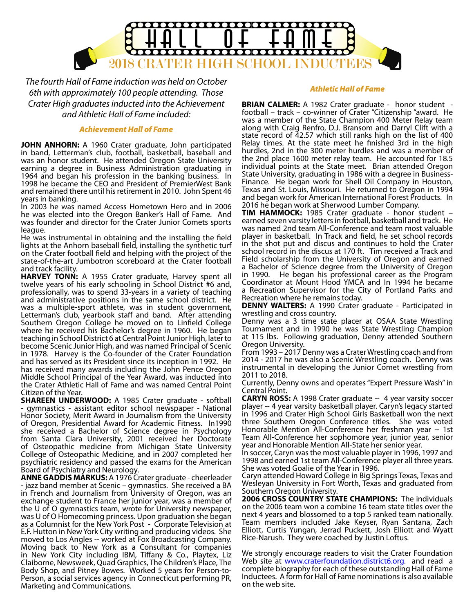

*The fourth Hall of Fame induction was held on October 6th with approximately 100 people attending. Those Crater High graduates inducted into the Achievement and Athletic Hall of Fame included:*

#### *Achievement Hall of Fame*

**JOHN ANHORN:** A 1960 Crater graduate, John participated in band, Letterman's club, football, basketball, baseball and was an honor student. He attended Oregon State University earning a degree in Business Administration graduating in 1964 and began his profession in the banking business. In 1998 he became the CEO and President of PremierWest Bank and remained there until his retirement in 2010. John Spent 46 years in banking.

In 2003 he was named Access Hometown Hero and in 2006 he was elected into the Oregon Banker's Hall of Fame. And was founder and director for the Crater Junior Comets sports league.

He was instrumental in obtaining and the installing the field lights at the Anhorn baseball field, installing the synthetic turf on the Crater football field and helping with the project of the state-of-the-art Jumbotron scoreboard at the Crater football and track facility.

**HARVEY TONN:** A 1955 Crater graduate, Harvey spent all twelve years of his early schooling in School District #6 and, professionally, was to spend 33-years in a variety of teaching and administrative positions in the same school district. He was a multiple-sport athlete, was in student government, Letterman's club, yearbook staff and band. After attending Southern Oregon College he moved on to Linfield College where he received his Bachelor's degree in 1960. He began teaching in School District 6 at Central Point Junior High, later to become Scenic Junior High, and was named Principal of Scenic in 1978. Harvey is the Co-founder of the Crater Foundation and has served as its President since its inception in 1992. He has received many awards including the John Pence Oregon Middle School Principal of the Year Award, was inducted into the Crater Athletic Hall of Fame and was named Central Point Citizen of the Year.

**SHAREEN UNDERWOOD:** A 1985 Crater graduate - softball - gymnastics - assistant editor school newspaper - National Honor Society, Merit Award in Journalism from the University of Oregon, Presidential Award for Academic Fitness. In1990 she received a Bachelor of Science degree in Psychology from Santa Clara University, 2001 received her Doctorate of Osteopathic medicine from Michigan State University College of Osteopathic Medicine, and in 2007 completed her psychiatric residency and passed the exams for the American Board of Psychiatry and Neurology.

**ANNE GADDIS MARKUS:** A 1976 Crater graduate - cheerleader - jazz band member at Scenic – gymnastics. She received a BA in French and Journalism from University of Oregon, was an exchange student to France her junior year, was a member of the U of O gymnastics team, wrote for University newspaper, was U of O Homecoming princess. Upon graduation she began as a Columnist for the New York Post - Corporate Television at E.F. Hutton in New York City writing and producing videos. She moved to Los Angles -- worked at Fox Broadcasting Company. Moving back to New York as a Consultant for companies in New York City including IBM, Tiffany & Co., Playtex, Liz Claiborne, Newsweek, Quad Graphics, The Children's Place, The Body Shop, and Pitney Bowes. Worked 5 years for Person-to-Person, a social services agency in Connecticut performing PR, Marketing and Communications.

#### *Athletic Hall of Fame*

**BRIAN CALMER:** A 1982 Crater graduate - honor student football – track – co-winner of Crater "Citizenship "award. He was a member of the State Champion 400 Meter Relay team along with Craig Renfro, D.J. Bransom and Darryl Clift with a state record of 42.57 which still ranks high on the list of 400 Relay times. At the state meet he finished 3rd in the high hurdles, 2nd in the 300 meter hurdles and was a member of the 2nd place 1600 meter relay team. He accounted for 18.5 individual points at the State meet. Brian attended Oregon State University, graduating in 1986 with a degree in Business-Finance. He began work for Shell Oil Company in Houston, Texas and St. Louis, Missouri. He returned to Oregon in 1994 and began work for American International Forest Products. In 2016 he began work at Sherwood Lumber Company.

**TIM HAMMOCK:** 1985 Crater graduate - honor student – earned seven varsity letters in football, basketball and track. He was named 2nd team All-Conference and team most valuable player in basketball. In Track and field, he set school records in the shot put and discus and continues to hold the Crater school record in the discus at 170 ft. Tim received a Track and Field scholarship from the University of Oregon and earned a Bachelor of Science degree from the University of Oregon in 1990. He began his professional career as the Program Coordinator at Mount Hood YMCA and In 1994 he became a Recreation Supervisor for the City of Portland Parks and Recreation where he remains today.

**DENNY WALTERS:** A 1990 Crater graduate - Participated in wrestling and cross country.

Denny was a 3 time state placer at OSAA State Wrestling Tournament and in 1990 he was State Wrestling Champion at 115 lbs. Following graduation, Denny attended Southern Oregon University.

From 1993 – 2017 Denny was a Crater Wrestling coach and from 2014 - 2017 he was also a Scenic Wrestling coach. Denny was instrumental in developing the Junior Comet wrestling from 2011 to 2018.

Currently, Denny owns and operates "Expert Pressure Wash" in Central Point.

**CARYN ROSS:** A 1998 Crater graduate -- 4 year varsity soccer player -- 4 year varsity basketball player. Caryn's legacy started in 1996 and Crater High School Girls Basketball won the next three Southern Oregon Conference titles. She was voted Honorable Mention All-Conference her freshman year -- 1st Team All-Conference her sophomore year, junior year, senior year and Honorable Mention All-State her senior year.

In soccer, Caryn was the most valuable player in 1996, 1997 and 1998 and earned 1st team All-Conference player all three years. She was voted Goalie of the Year in 1996.

Caryn attended Howard College in Big Springs Texas, Texas and Wesleyan University in Fort Worth, Texas and graduated from Southern Oregon University.

**2006 CROSS COUNTRY STATE CHAMPIONS:** The individuals on the 2006 team won a combine 16 team state titles over the next 4 years and blossomed to a top 5 ranked team nationally. Team members included Jake Keyser, Ryan Santana, Zach Elliott, Curtis Yungan, Jerrad Puckett, Josh Elliott and Wyatt Rice-Narush. They were coached by Justin Loftus.

We strongly encourage readers to visit the Crater Foundation Web site at www.craterfoundation.district6.org. and read a complete biography for each of these outstanding Hall of Fame Inductees. A form for Hall of Fame nominations is also available on the web site.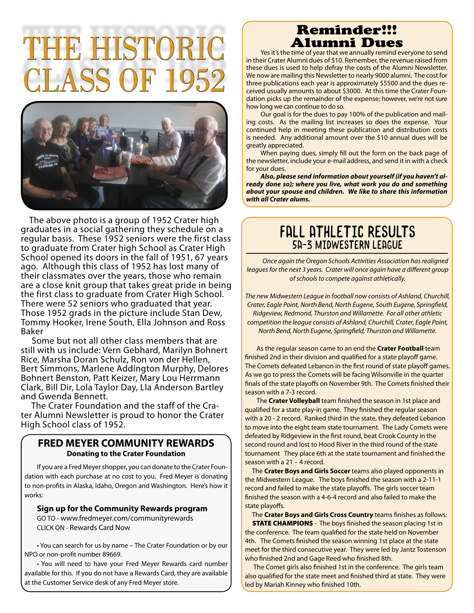# **THE HISTO**  $\rm{7LASS}$  OF



 The above photo is a group of 1952 Crater high graduates in a social gathering they schedule on a regular basis. These 1952 seniors were the first class to graduate from Crater high School as Crater High School opened its doors in the fall of 1951, 67 years ago. Although this class of 1952 has lost many of their classmates over the years, those who remain are a close knit group that takes great pride in being the first class to graduate from Crater High School. There were 52 seniors who graduated that year. Those 1952 grads in the picture include Stan Dew, Tommy Hooker, Irene South, Ella Johnson and Ross Baker

 Some but not all other class members that are still with us include: Vern Gebhard, Marilyn Bohnert Rice, Marsha Doran Schulz, Ron von der Hellen, Bert Simmons, Marlene Addington Murphy, Delores Bohnert Benston, Patt Keizer, Mary Lou Herrmann Clark, Bill Dir, Lola Taylor Day, Lla Anderson Bartley and Gwenda Bennett.

 The Crater Foundation and the staff of the Crater Alumni Newsletter is proud to honor the Crater High School class of 1952.

### **FRED MEYER COMMUNITY REWARDS Donating to the Crater Foundation**

If you are a Fred Meyer shopper, you can donate to the Crater Foundation with each purchase at no cost to you. Fred Meyer is donating to non-profits in Alaska, Idaho, Oregon and Washington. Here's how it works:

### **Sign up for the Community Rewards program**

GO TO - www.fredmeyer.com/communityrewards CLICK ON - Rewards Card Now

• You can search for us by name – The Crater Foundation or by our NPO or non-profit number 89669.

• You will need to have your Fred Meyer Rewards card number available for this. If you do not have a Rewards Card, they are available at the Customer Service desk of any Fred Meyer store.

## Reminder!!!<br>Alumni Dues

Yes it's the time of year that we annually remind everyone to send in their Crater Alumni dues of \$10. Remember, the revenue raised from these dues is used to help defray the costs of the Alumni Newsletter. We now are mailing this Newsletter to nearly 9000 alumni. The cost for three publications each year is approximately \$5500 and the dues received usually amounts to about \$3000. At this time the Crater Foundation picks up the remainder of the expense; however, we're not sure how long we can continue to do so.

Our goal is for the dues to pay 100% of the publication and mailing costs. As the mailing list increases so does the expense. Your continued help in meeting these publication and distribution costs is needed. Any additional amount over the \$10 annual dues will be greatly appreciated.

When paying dues, simply fill out the form on the back page of the newsletter, include your e-mail address, and send it in with a check for your dues.

*Also, please send information about yourself (if you haven't already done so); where you live, what work you do and something about your spouse and children. We like to share this information with all Crater alums.*

### Fall Athletic Results 5A-3 Midwestern League

*Once again the Oregon Schools Activities Association has realigned leagues for the next 3 years. Crater will once again have a different group of schools to compete against athletically.* 

*The new Midwestern League in football now consists of Ashland, Churchill, Crater, Eagle Point, North Bend, North Eugene, South Eugene, Springfield, Ridgeview, Redmond, Thurston and Willamette. For all other athletic competition the league consists of Ashland, Churchill, Crater, Eagle Point, North Bend, North Eugene, Springfield, Thurston and Willamette.*

As the regular season came to an end the **Crater Football** team finished 2nd in their division and qualified for a state playoff game. The Comets defeated Lebanon in the first round of state playoff games. As we go to press the Comets will be facing Wilsonville in the quarter finals of the state playoffs on November 9th. The Comets finished their season with a 7-3 record.

The **Crater Volleyball** team finished the season in 1st place and qualified for a state play-in game. They finished the regular season with a 20 - 2 record. Ranked third in the state, they defeated Lebanon to move into the eight team state tournament. The Lady Comets were defeated by Ridgeview in the first round, beat Crook County in the second round and lost to Hood River in the third round of the state tournament They place 6th at the state tournament and finished the season with a 21 – 4 record.

 The **Crater Boys and Girls Soccer** teams also played opponents in the Midwestern League. The boys finished the season with a 2-11-1 record and failed to make the state playoffs. The girls soccer team finished the season with a 4-6-4 record and also failed to make the state playoffs.

 The **Crater Boys and Girls Cross Country** teams finishes as follows: **STATE CHAMPIONS** - The boys finished the season placing 1st in the conference. The team qualified for the state held on November 4th. The Comets finished the season winning 1st place at the state meet for the third consecutive year. They were led by Jantz Tostenson who finished 2nd and Gage Reed who finished 8th.

 The Comet girls also finished 1st in the conference. The girls team also qualified for the state meet and finished third at state. They were led by Mariah Kinney who finished 10th.